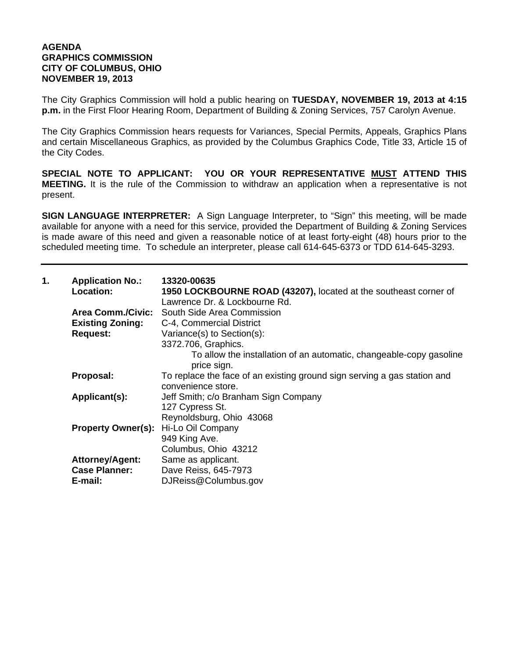## **AGENDA GRAPHICS COMMISSION CITY OF COLUMBUS, OHIO NOVEMBER 19, 2013**

The City Graphics Commission will hold a public hearing on **TUESDAY, NOVEMBER 19, 2013 at 4:15 p.m.** in the First Floor Hearing Room, Department of Building & Zoning Services, 757 Carolyn Avenue.

The City Graphics Commission hears requests for Variances, Special Permits, Appeals, Graphics Plans and certain Miscellaneous Graphics, as provided by the Columbus Graphics Code, Title 33, Article 15 of the City Codes.

**SPECIAL NOTE TO APPLICANT: YOU OR YOUR REPRESENTATIVE MUST ATTEND THIS MEETING.** It is the rule of the Commission to withdraw an application when a representative is not present.

**SIGN LANGUAGE INTERPRETER:** A Sign Language Interpreter, to "Sign" this meeting, will be made available for anyone with a need for this service, provided the Department of Building & Zoning Services is made aware of this need and given a reasonable notice of at least forty-eight (48) hours prior to the scheduled meeting time. To schedule an interpreter, please call 614-645-6373 or TDD 614-645-3293.

| 1. | <b>Application No.:</b><br><b>Location:</b> | 13320-00635<br>1950 LOCKBOURNE ROAD (43207), located at the southeast corner of<br>Lawrence Dr. & Lockbourne Rd. |
|----|---------------------------------------------|------------------------------------------------------------------------------------------------------------------|
|    |                                             | <b>Area Comm./Civic:</b> South Side Area Commission                                                              |
|    | <b>Existing Zoning:</b>                     | C-4, Commercial District                                                                                         |
|    | <b>Request:</b>                             | Variance(s) to Section(s):                                                                                       |
|    |                                             | 3372.706, Graphics.                                                                                              |
|    |                                             | To allow the installation of an automatic, changeable-copy gasoline<br>price sign.                               |
|    | Proposal:                                   | To replace the face of an existing ground sign serving a gas station and                                         |
|    |                                             | convenience store.                                                                                               |
|    | Applicant(s):                               | Jeff Smith; c/o Branham Sign Company                                                                             |
|    |                                             | 127 Cypress St.                                                                                                  |
|    |                                             | Reynoldsburg, Ohio 43068                                                                                         |
|    | Property Owner(s): Hi-Lo Oil Company        |                                                                                                                  |
|    |                                             | 949 King Ave.                                                                                                    |
|    |                                             | Columbus, Ohio 43212                                                                                             |
|    | <b>Attorney/Agent:</b>                      | Same as applicant.                                                                                               |
|    | <b>Case Planner:</b>                        | Dave Reiss, 645-7973                                                                                             |
|    | E-mail:                                     | DJReiss@Columbus.gov                                                                                             |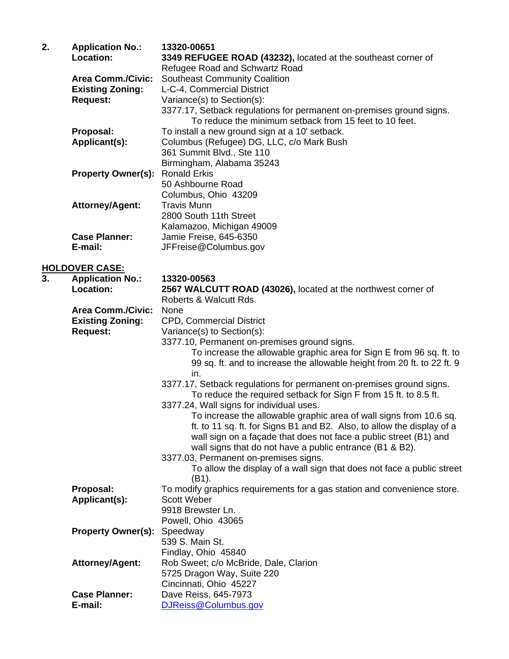| 2. | <b>Application No.:</b><br>Location: | 13320-00651<br>3349 REFUGEE ROAD (43232), located at the southeast corner of      |
|----|--------------------------------------|-----------------------------------------------------------------------------------|
|    | <b>Area Comm./Civic:</b>             | Refugee Road and Schwartz Road<br><b>Southeast Community Coalition</b>            |
|    | <b>Existing Zoning:</b>              | L-C-4, Commercial District                                                        |
|    | <b>Request:</b>                      | Variance(s) to Section(s):                                                        |
|    |                                      | 3377.17, Setback regulations for permanent on-premises ground signs.              |
|    |                                      | To reduce the minimum setback from 15 feet to 10 feet.                            |
|    | Proposal:                            | To install a new ground sign at a 10' setback.                                    |
|    | Applicant(s):                        | Columbus (Refugee) DG, LLC, c/o Mark Bush                                         |
|    |                                      | 361 Summit Blvd., Ste 110                                                         |
|    |                                      | Birmingham, Alabama 35243                                                         |
|    | <b>Property Owner(s):</b>            | <b>Ronald Erkis</b>                                                               |
|    |                                      | 50 Ashbourne Road                                                                 |
|    |                                      | Columbus, Ohio 43209                                                              |
|    | Attorney/Agent:                      | <b>Travis Munn</b>                                                                |
|    |                                      | 2800 South 11th Street                                                            |
|    |                                      | Kalamazoo, Michigan 49009                                                         |
|    | <b>Case Planner:</b>                 | Jamie Freise, 645-6350                                                            |
|    | E-mail:                              | JFFreise@Columbus.gov                                                             |
|    |                                      |                                                                                   |
| 3. | <b>HOLDOVER CASE:</b>                | 13320-00563                                                                       |
|    | <b>Application No.:</b><br>Location: | 2567 WALCUTT ROAD (43026), located at the northwest corner of                     |
|    |                                      | Roberts & Walcutt Rds.                                                            |
|    | <b>Area Comm./Civic:</b>             | None                                                                              |
|    | <b>Existing Zoning:</b>              | <b>CPD, Commercial District</b>                                                   |
|    | <b>Request:</b>                      | Variance(s) to Section(s):                                                        |
|    |                                      | 3377.10, Permanent on-premises ground signs.                                      |
|    |                                      | To increase the allowable graphic area for Sign E from 96 sq. ft. to              |
|    |                                      | 99 sq. ft. and to increase the allowable height from 20 ft. to 22 ft. 9           |
|    |                                      | in.                                                                               |
|    |                                      | 3377.17, Setback regulations for permanent on-premises ground signs.              |
|    |                                      | To reduce the required setback for Sign F from 15 ft. to 8.5 ft.                  |
|    |                                      | 3377.24, Wall signs for individual uses.                                          |
|    |                                      | To increase the allowable graphic area of wall signs from 10.6 sq.                |
|    |                                      | ft. to 11 sq. ft. for Signs B1 and B2. Also, to allow the display of a            |
|    |                                      | wall sign on a façade that does not face a public street (B1) and                 |
|    |                                      | wall signs that do not have a public entrance (B1 & B2).                          |
|    |                                      | 3377.03, Permanent on-premises signs.                                             |
|    |                                      | To allow the display of a wall sign that does not face a public street            |
|    | Proposal:                            | (B1).<br>To modify graphics requirements for a gas station and convenience store. |
|    | Applicant(s):                        | <b>Scott Weber</b>                                                                |
|    |                                      | 9918 Brewster Ln.                                                                 |
|    |                                      | Powell, Ohio 43065                                                                |
|    | <b>Property Owner(s):</b>            | Speedway                                                                          |
|    |                                      | 539 S. Main St.                                                                   |
|    |                                      | Findlay, Ohio 45840                                                               |

 **Attorney/Agent:** Rob Sweet; c/o McBride, Dale, Clarion

 5725 Dragon Way, Suite 220 Cincinnati, Ohio 45227 **Case Planner:** Dave Reiss, 645-7973 **E-mail:** DJReiss@Columbus.gov